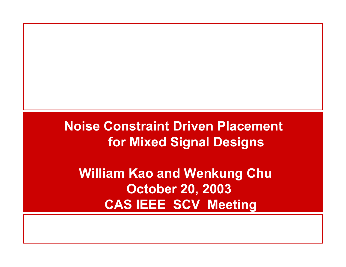**Noise Constraint Driven Placement for Mixed Signal Designs**

**William Kao and Wenkung Chu October 20, 2003 CAS IEEE SCV Meeting**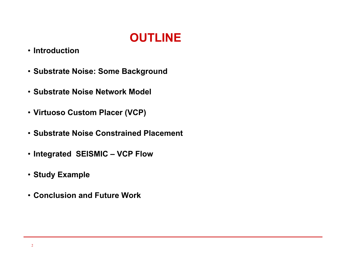

- **Introduction**
- **Substrate Noise: Some Background**
- **Substrate Noise Network Model**
- **Virtuoso Custom Placer (VCP)**
- **Substrate Noise Constrained Placement**
- **Integrated SEISMIC – VCP Flow**
- **Study Example**
- **Conclusion and Future Work**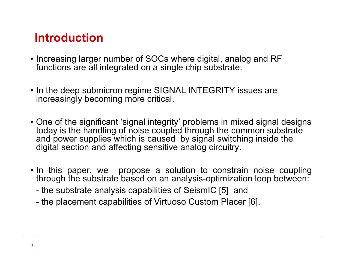# **Introduction**

- Increasing larger number of SOCs where digital, analog and RF functions are all integrated on a single chip substrate.
- In the deep submicron regime SIGNAL INTEGRITY issues are increasingly becoming more critical.
- One of the significant 'signal integrity' problems in mixed signal designs today is the handling of noise coupled through the common substrate and power supplies which is caused by signal switching inside the digital section and affecting sensitive analog circuitry.
- In this paper, we propose a solution to constrain noise coupling through the substrate based on an analysis-optimization loop between:
	- the substrate analysis capabilities of SeismIC [5] and
	- the placement capabilities of Virtuoso Custom Placer [6].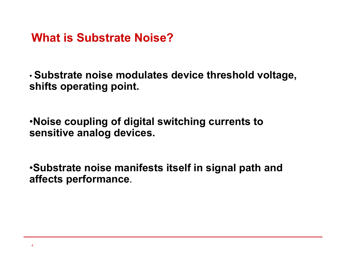**What is Substrate Noise?**

• **Substrate noise modulates device threshold voltage, shifts operating point.**

•**Noise coupling of digital switching currents to sensitive analog devices.**

•**Substrate noise manifests itself in signal path and affects performance.**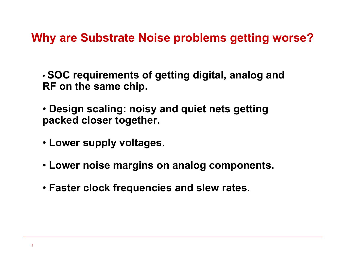**Why are Substrate Noise problems getting worse?**

• **SOC requirements of getting digital, analog and RF on the same chip.**

- **Design scaling: noisy and quiet nets getting packed closer together.**
- **Lower supply voltages.**
- **Lower noise margins on analog components.**
- **Faster clock frequencies and slew rates.**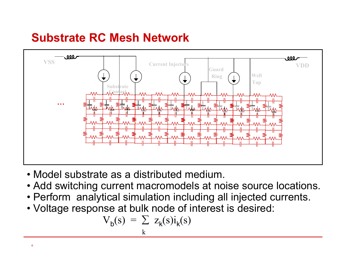# **Substrate RC Mesh Network**



- Model substrate as a distributed medium.
- Add switching current macromodels at noise source locations.
- Perform analytical simulation including all injected currents.
- Voltage response at bulk node of interest is desired:

$$
V_b(s) = \sum_{k} z_k(s)i_k(s)
$$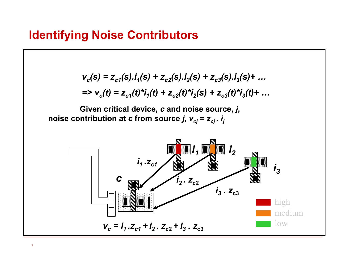$$
v_c(s) = z_{c1}(s).i_1(s) + z_{c2}(s).i_2(s) + z_{c3}(s).i_3(s) + ...
$$
  
=
$$
v_c(t) = z_{c1}(t)^*i_1(t) + z_{c2}(t)^*i_2(s) + z_{c3}(t)^*i_3(t) + ...
$$

**Given critical device,** *<sup>c</sup>* **and noise source,** *j***, noise contribution at** *c* **from source** *j, vcj* **<sup>=</sup>***zcj . ij*

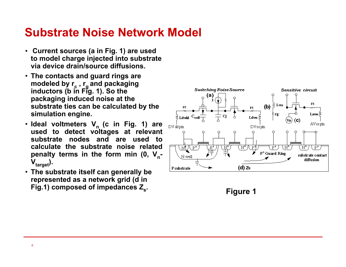## **Substrate Noise Network Model**

- **Current sources (a in Fig. 1) are used to model charge injected into substrate via device drain/source diffusions.**
- **The contacts and guard rings are**  modeled by r<sub>c</sub> , r<sub>g</sub> and packaging<br>inductors (b in Fig. 1). So the **packaging induced noise at the substrate ties can be calculated by the simulation engine.**
- Ideal voltmeters V<sub>n</sub> (c in Fig. 1) are **used to detect voltages at relevant substrate nodes and are used to calculate the substrate noise related** penalty terms in the form min (0, V<sub>n</sub>- $V_{\text{target}}$ ).
- **The substrate itself can generally be represented as a network grid (d in**  Fig.1) composed of impedances Z<sub>s</sub>. Figure 1

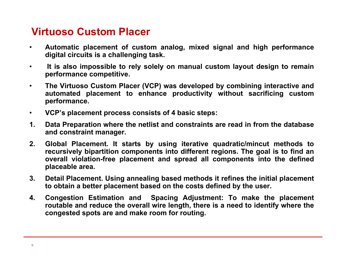#### **Virtuoso Custom Placer**

- $\bullet$  **Automatic placement of custom analog, mixed signal and high performance digital circuits is a challenging task.**
- • **It is also impossible to rely solely on manual custom layout design to remain performance competitive.**
- $\bullet$  **The Virtuoso Custom Placer (VCP) was developed by combining interactive and automated placement to enhance productivity without sacrificing custom performance.**
- $\bullet$ **VCP's placement process consists of 4 basic steps:**
- **1. Data Preparation where the netlist and constraints are read in from the database and constraint manager.**
- **2. Global Placement. It starts by using iterative quadratic/mincut methods to recursively bipartition components into different regions. The goal is to find an overall violation-free placement and spread all components into the defined placeable area.**
- **3. Detail Placement. Using annealing based methods it refines the initial placement to obtain a better placement based on the costs defined by the user.**
- **4. Congestion Estimation and Spacing Adjustment: To make the placement routable and reduce the overall wire length, there is a need to identify where the congested spots are and make room for routing.**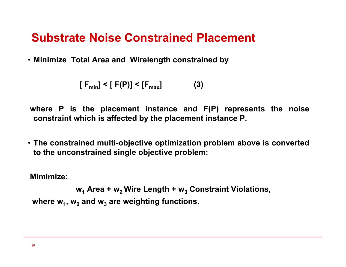# **Substrate Noise Constrained Placement**

• **Minimize Total Area and Wirelength constrained by** 

$$
[F_{\min}] < [F(P)] < [F_{\max}]
$$
 (3)

**where P is the placement instance and F(P) represents the noise constraint which is affected by the placement instance P.** 

• **The constrained multi-objective optimization problem above is converted to the unconstrained single objective problem:**

**Mimimize:** 

**w1 Area + w2 Wire Length + w3 Constraint Violations,** where w<sub>1</sub>, w<sub>2</sub> and w<sub>3</sub> are weighting functions.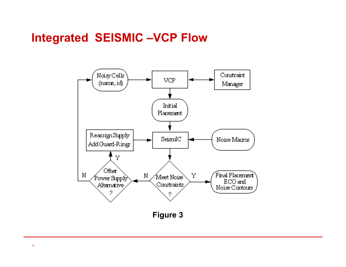# **Integrated SEISMIC –VCP Flow**



**Figure 3**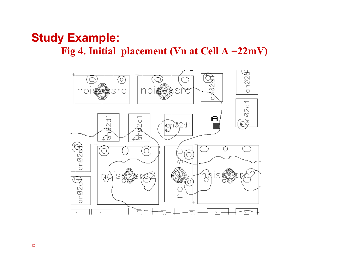#### **Study Example:** Fig 4. Initial placement (Vn at Cell A =  $22mV$ )

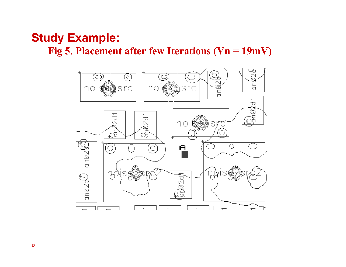#### **Study Example: Fig 5. Placement after few Iterations (Vn = 19mV)**

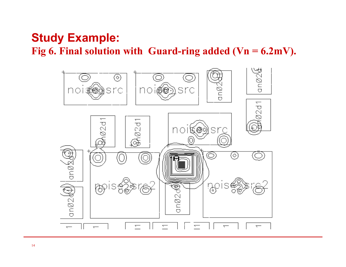# **Study Example:**  Fig 6. Final solution with Guard-ring added  $(Vn = 6.2mV)$ .